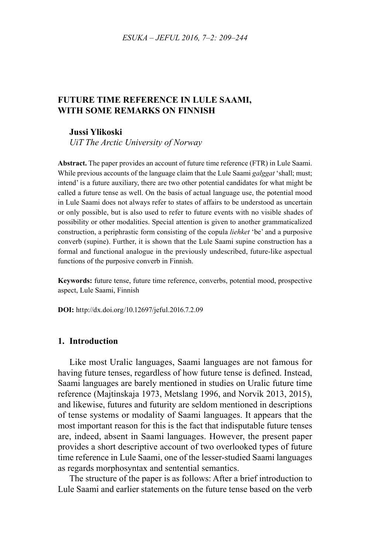## **FUTURE TIME REFERENCE IN LULE SAAMI, WITH SOME REMARKS ON FINNISH**

#### **Jussi Ylikoski**

*UiT The Arctic University of Norway*

**Abstract.** The paper provides an account of future time reference (FTR) in Lule Saami. While previous accounts of the language claim that the Lule Saami *galggat* 'shall; must; intend' is a future auxiliary, there are two other potential candidates for what might be called a future tense as well. On the basis of actual language use, the potential mood in Lule Saami does not always refer to states of affairs to be understood as uncertain or only possible, but is also used to refer to future events with no visible shades of possibility or other modalities. Special attention is given to another grammaticalized construction, a periphrastic form consisting of the copula *liehket* 'be' and a purposive converb (supine). Further, it is shown that the Lule Saami supine construction has a formal and functional analogue in the previously undescribed, future-like aspectual functions of the purposive converb in Finnish.

**Keywords:** future tense, future time reference, converbs, potential mood, prospective aspect, Lule Saami, Finnish

**DOI:** http://dx.doi.org/10.12697/jeful.2016.7.2.09

#### **1. Introduction**

Like most Uralic languages, Saami languages are not famous for having future tenses, regardless of how future tense is defined. Instead, Saami languages are barely mentioned in studies on Uralic future time reference (Majtinskaja 1973, Metslang 1996, and Norvik 2013, 2015), and likewise, futures and futurity are seldom mentioned in descriptions of tense systems or modality of Saami languages. It appears that the most important reason for this is the fact that indisputable future tenses are, indeed, absent in Saami languages. However, the present paper provides a short descriptive account of two overlooked types of future time reference in Lule Saami, one of the lesser-studied Saami languages as regards morphosyntax and sentential semantics.

The structure of the paper is as follows: After a brief introduction to Lule Saami and earlier statements on the future tense based on the verb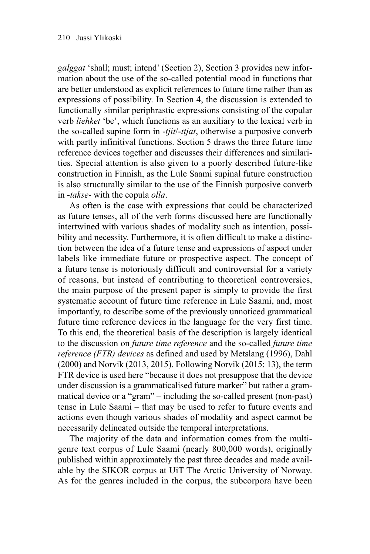*galggat* 'shall; must; intend' (Section 2), Section 3 provides new information about the use of the so-called potential mood in functions that are better understood as explicit references to future time rather than as expressions of possibility. In Section 4, the discussion is extended to functionally similar periphrastic expressions consisting of the copular verb *liehket* 'be', which functions as an auxiliary to the lexical verb in the so-called supine form in -*tjit*/-*ttjat*, otherwise a purposive converb with partly infinitival functions. Section 5 draws the three future time reference devices together and discusses their differences and similarities. Special attention is also given to a poorly described future-like construction in Finnish, as the Lule Saami supinal future construction is also structurally similar to the use of the Finnish purposive converb in -*takse*- with the copula *olla*.

As often is the case with expressions that could be characterized as future tenses, all of the verb forms discussed here are functionally intertwined with various shades of modality such as intention, possibility and necessity. Furthermore, it is often difficult to make a distinction between the idea of a future tense and expressions of aspect under labels like immediate future or prospective aspect. The concept of a future tense is notoriously difficult and controversial for a variety of reasons, but instead of contributing to theoretical controversies, the main purpose of the present paper is simply to provide the first systematic account of future time reference in Lule Saami, and, most importantly, to describe some of the previously unnoticed grammatical future time reference devices in the language for the very first time. To this end, the theoretical basis of the description is largely identical to the discussion on *future time reference* and the so-called *future time reference (FTR) devices* as defined and used by Metslang (1996), Dahl (2000) and Norvik (2013, 2015). Following Norvik (2015: 13), the term FTR device is used here "because it does not presuppose that the device under discussion is a grammaticalised future marker" but rather a grammatical device or a "gram" – including the so-called present (non-past) tense in Lule Saami – that may be used to refer to future events and actions even though various shades of modality and aspect cannot be necessarily delineated outside the temporal interpretations.

The majority of the data and information comes from the multigenre text corpus of Lule Saami (nearly 800,000 words), originally published within approximately the past three decades and made available by the SIKOR corpus at UiT The Arctic University of Norway. As for the genres included in the corpus, the subcorpora have been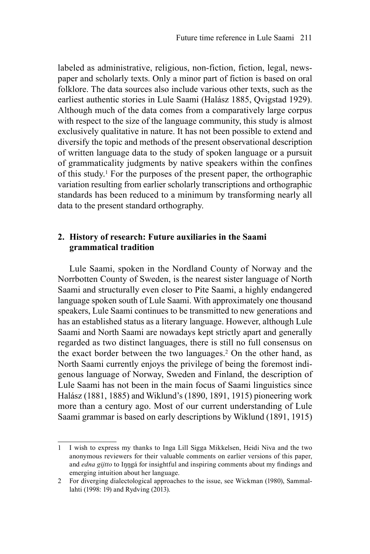labeled as administrative, religious, non-fiction, fiction, legal, newspaper and scholarly texts. Only a minor part of fiction is based on oral folklore. The data sources also include various other texts, such as the earliest authentic stories in Lule Saami (Halász 1885, Qvigstad 1929). Although much of the data comes from a comparatively large corpus with respect to the size of the language community, this study is almost exclusively qualitative in nature. It has not been possible to extend and diversify the topic and methods of the present observational description of written language data to the study of spoken language or a pursuit of grammaticality judgments by native speakers within the confines of this study.1 For the purposes of the present paper, the orthographic variation resulting from earlier scholarly transcriptions and orthographic standards has been reduced to a minimum by transforming nearly all data to the present standard orthography.

# **2. History of research: Future auxiliaries in the Saami grammatical tradition**

Lule Saami, spoken in the Nordland County of Norway and the Norrbotten County of Sweden, is the nearest sister language of North Saami and structurally even closer to Pite Saami, a highly endangered language spoken south of Lule Saami. With approximately one thousand speakers, Lule Saami continues to be transmitted to new generations and has an established status as a literary language. However, although Lule Saami and North Saami are nowadays kept strictly apart and generally regarded as two distinct languages, there is still no full consensus on the exact border between the two languages.<sup>2</sup> On the other hand, as North Saami currently enjoys the privilege of being the foremost indigenous language of Norway, Sweden and Finland, the description of Lule Saami has not been in the main focus of Saami linguistics since Halász (1881, 1885) and Wiklund's (1890, 1891, 1915) pioneering work more than a century ago. Most of our current understanding of Lule Saami grammar is based on early descriptions by Wiklund (1891, 1915)

<sup>1</sup> I wish to express my thanks to Inga Lill Sigga Mikkelsen, Heidi Niva and the two anonymous reviewers for their valuable comments on earlier versions of this paper, and *edna gijtto* to Inngá for insightful and inspiring comments about my findings and emerging intuition about her language.

<sup>2</sup> For diverging dialectological approaches to the issue, see Wickman (1980), Sammallahti (1998: 19) and Rydving (2013).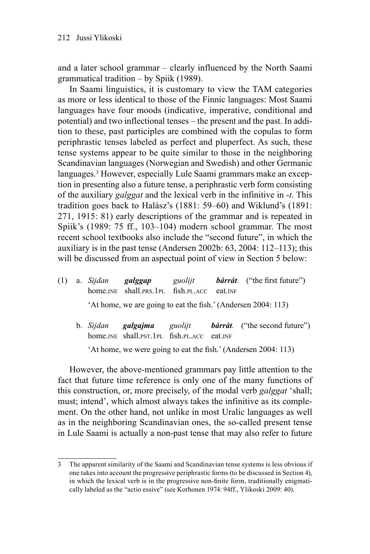and a later school grammar – clearly influenced by the North Saami grammatical tradition – by Spiik (1989).

In Saami linguistics, it is customary to view the TAM categories as more or less identical to those of the Finnic languages: Most Saami languages have four moods (indicative, imperative, conditional and potential) and two inflectional tenses – the present and the past. In addition to these, past participles are combined with the copulas to form periphrastic tenses labeled as perfect and pluperfect. As such, these tense systems appear to be quite similar to those in the neighboring Scandinavian languages (Norwegian and Swedish) and other Germanic languages.3 However, especially Lule Saami grammars make an exception in presenting also a future tense, a periphrastic verb form consisting of the auxiliary *galggat* and the lexical verb in the infinitive in -*t*. This tradition goes back to Halász's (1881: 59–60) and Wiklund's (1891: 271, 1915: 81) early descriptions of the grammar and is repeated in Spiik's (1989: 75 ff., 103–104) modern school grammar. The most recent school textbooks also include the "second future", in which the auxiliary is in the past tense (Andersen 2002b: 63, 2004: 112–113); this will be discussed from an aspectual point of view in Section 5 below:

- (1) a. *Sijdan galggap guolijt bårråt*. ("the first future") home.INE shall.PRS.1PL fish.PL.ACC eat.INF 'At home, we are going to eat the fish.' (Andersen 2004: 113)
	- b. *Sijdan galgajma guolijt bårråt.* ("the second future") home.INE shall.PST.1PL fish.PL.ACC eat.INF 'At home, we were going to eat the fish.' (Andersen 2004:  $113$ )

However, the above-mentioned grammars pay little attention to the fact that future time reference is only one of the many functions of this construction, or, more precisely, of the modal verb *galggat* 'shall; must; intend', which almost always takes the infinitive as its complement. On the other hand, not unlike in most Uralic languages as well as in the neighboring Scandinavian ones, the so-called present tense in Lule Saami is actually a non-past tense that may also refer to future

<sup>3</sup> The apparent similarity of the Saami and Scandinavian tense systems is less obvious if one takes into account the progressive periphrastic forms (to be discussed in Section 4), in which the lexical verb is in the progressive non-finite form, traditionally enigmatically labeled as the "actio essive" (see Korhonen 1974: 94ff., Ylikoski 2009: 40).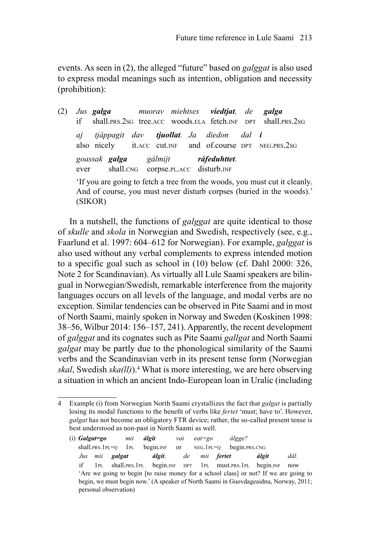events. As seen in (2), the alleged "future" based on *galggat* is also used to express modal meanings such as intention, obligation and necessity (prohibition):

(2) *Jus galga muorav miehtses viedtjat, de galga* if shall PRS 2sG tree ACC woods.ELA fetch.INF DPT shall PRS 2sG *aj tjáppagit dav tjuollat. Ja diedon dal i* also nicely it.ACC cut.INF and of.course DPT NEG.PRS.2SG *goassak galga gálmijt ráfeduhttet.* ever shall.CNG corpse.PL.ACC disturb.INF 'If you are going to fetch a tree from the woods, you must cut it cleanly.

And of course, you must never disturb corpses (buried in the woods).' (SIKOR)

In a nutshell, the functions of *galggat* are quite identical to those of *skulle* and *skola* in Norwegian and Swedish, respectively (see, e.g., Faarlund et al. 1997: 604–612 for Norwegian). For example, *galggat* is also used without any verbal complements to express intended motion to a specific goal such as school in (10) below (cf. Dahl 2000: 326, Note 2 for Scandinavian). As virtually all Lule Saami speakers are bilingual in Norwegian/Swedish, remarkable interference from the majority languages occurs on all levels of the language, and modal verbs are no exception. Similar tendencies can be observed in Pite Saami and in most of North Saami, mainly spoken in Norway and Sweden (Koskinen 1998: 38–56, Wilbur 2014: 156–157, 241). Apparently, the recent development of *galggat* and its cognates such as Pite Saami *gallgat* and North Saami *galgat* may be partly due to the phonological similarity of the Saami verbs and the Scandinavian verb in its present tense form (Norwegian *skal*, Swedish *ska(ll)*).4 What is more interesting, we are here observing a situation in which an ancient Indo-European loan in Uralic (including

(i) *Galgat=go mii álgit vai eat=go álgge?* shall.prs.1PL=Q 1PL begin.INF or NEG.1PL=Q begin.prs.cnG *Jus mii galgat álgit, de mii fertet álgit dál.* if 1PL shall.PRS.1PL begin.INF DPT 1PL must.PRS.1PL begin.INF now 'Are we going to begin [to raise money for a school class] or not? If we are going to begin, we must begin now.' (A speaker of North Saami in Guovdageaidnu, Norway, 2011; personal observation)

<sup>4</sup> Example (i) from Norwegian North Saami crystallizes the fact that *galgat* is partially losing its modal functions to the benefit of verbs like *fertet* 'must; have to'. However, *galgat* has not become an obligatory FTR device; rather, the so-called present tense is best understood as non-past in North Saami as well.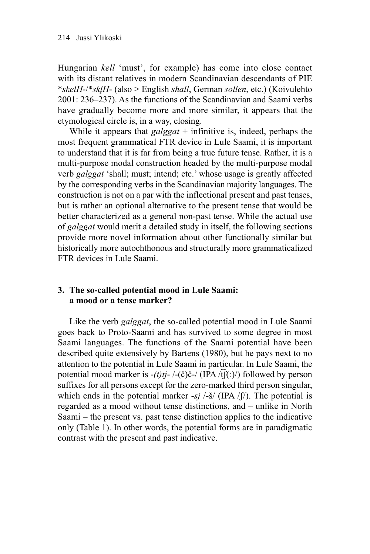Hungarian *kell* 'must', for example) has come into close contact with its distant relatives in modern Scandinavian descendants of PIE \**skelH*-/\**skl̥H*- (also > English *shall*, German *sollen*, etc.) (Koivulehto 2001: 236–237). As the functions of the Scandinavian and Saami verbs have gradually become more and more similar, it appears that the etymological circle is, in a way, closing.

While it appears that *galggat* + infinitive is, indeed, perhaps the most frequent grammatical FTR device in Lule Saami, it is important to understand that it is far from being a true future tense. Rather, it is a multi-purpose modal construction headed by the multi-purpose modal verb *galggat* 'shall; must; intend; etc.' whose usage is greatly affected by the corresponding verbs in the Scandinavian majority languages. The construction is not on a par with the inflectional present and past tenses, but is rather an optional alternative to the present tense that would be better characterized as a general non-past tense. While the actual use of *galggat* would merit a detailed study in itself, the following sections provide more novel information about other functionally similar but historically more autochthonous and structurally more grammaticalized FTR devices in Lule Saami.

## **3. The so-called potential mood in Lule Saami: a mood or a tense marker?**

Like the verb *galggat*, the so-called potential mood in Lule Saami goes back to Proto-Saami and has survived to some degree in most Saami languages. The functions of the Saami potential have been described quite extensively by Bartens (1980), but he pays next to no attention to the potential in Lule Saami in particular. In Lule Saami, the potential mood marker is -*(t)tj*- /-(č)č-/ (IPA /t͡ʃ(ː)/) followed by person suffixes for all persons except for the zero-marked third person singular, which ends in the potential marker  $-sj$  /-š/ (IPA / $\int$ ). The potential is regarded as a mood without tense distinctions, and – unlike in North Saami – the present vs. past tense distinction applies to the indicative only (Table 1). In other words, the potential forms are in paradigmatic contrast with the present and past indicative.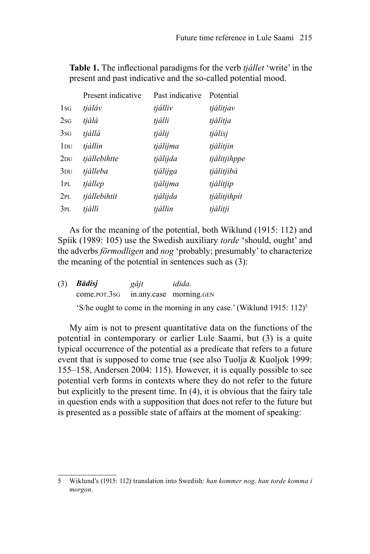**Table 1.** The inflectional paradigms for the verb *tjállet* 'write' in the present and past indicative and the so-called potential mood.

|                 | Present indicative | Past indicative | Potential    |
|-----------------|--------------------|-----------------|--------------|
| $1_{SG}$        | tjáláv             | tjálliv         | tjálitjav    |
| 2s <sub>G</sub> | tjálá              | tjálli          | tjálitja     |
| 3s <sub>G</sub> | tjállá             | tjálij          | tjálisj      |
| $1_{\rm DU}$    | tjállin            | tjálijma        | tjálitjin    |
| $2_{DU}$        | tjállebihtte       | tjálijda        | tjálitjihppe |
| 3 <sub>DU</sub> | tjálleba           | tjálijga        | tjálitjibá   |
| 1PL             | tjállep            | tjálijma        | tjálitjip    |
| 2PL             | tjállebihtit       | tjálijda        | tjálitjihpit |
| 3PL             | tjálli             | tjállin         | tjálitji     |

As for the meaning of the potential, both Wiklund (1915: 112) and Spiik (1989: 105) use the Swedish auxiliary *torde* 'should, ought' and the adverbs *förmodligen* and *nog* 'probably; presumably' to characterize the meaning of the potential in sentences such as (3):

| $(3)$ <i>Bådisj</i>                  | gåjt | idida.                                                                            |
|--------------------------------------|------|-----------------------------------------------------------------------------------|
| come.por.3sg in.any.case morning.gen |      |                                                                                   |
|                                      |      | 'S/he ought to come in the morning in any case.' (Wiklund 1915: 112) <sup>5</sup> |

My aim is not to present quantitative data on the functions of the potential in contemporary or earlier Lule Saami, but (3) is a quite typical occurrence of the potential as a predicate that refers to a future event that is supposed to come true (see also Tuolja & Kuoljok 1999: 155–158, Andersen 2004: 115). However, it is equally possible to see potential verb forms in contexts where they do not refer to the future but explicitly to the present time. In  $(4)$ , it is obvious that the fairy tale in question ends with a supposition that does not refer to the future but is presented as a possible state of affairs at the moment of speaking:

<sup>5</sup> Wiklund's (1915: 112) translation into Swedish: *han kommer nog, han torde komma i morgon*.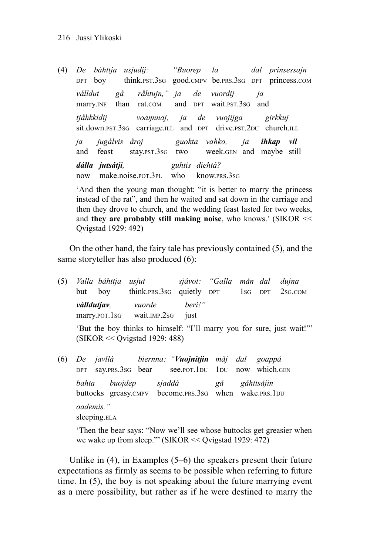(4) *De báhttja usjudij: "Buorep la dal prinsessajn* DPT boy think.PST.3SG good.CMPV be.PRS.3SG DPT princess.COM *válldut gå råhtujn," ja de vuordij ja* marry.INF than rat.COM and DPT wait.PST.3SG and *tjåhkkidij voaŋnnaj, ja de vuojijga girkkuj* sit.down.pst.3sG carriage.ill and DPT drive.pst.2DU church.ill *ja jugálvis åroj guokta vahko, ja ihkap vil* and feast stay.PST.3SG two week.GEN and maybe still *dálla jutsátji, guhtis diehtá?* now make.noise.POT.3PL who know.PRS.3SG

'And then the young man thought: "it is better to marry the princess instead of the rat", and then he waited and sat down in the carriage and then they drove to church, and the wedding feast lasted for two weeks, and **they are probably still making noise**, who knows.' (SIKOR << Qvigstad 1929: 492)

On the other hand, the fairy tale has previously contained (5), and the same storyteller has also produced (6):

- (5) *Valla báhttja usjut sjávot: "Galla mån dal dujna* but boy think.PRS.3SG quietly DPT 1SG DPT 2SG.COM *válldutjav, vuorde beri!"* marry.por.1sg wait.IMP.2sg just 'But the boy thinks to himself: "I'll marry you for sure, just wait!"' (SIKOR << Qvigstad 1929: 488)
- (6) *De javllá biernna: "Vuojnitjin måj dal goappá* DPT say.PRS.3SG bear see.POT.1DU 1DU now which.GEN *bahta buojdep sjaddá gå gåhttsåjin* buttocks greasy.CMPV become.PRS.3SG when wake.PRS.1DU *oademis."* sleeping.ELA

'Then the bear says: "Now we'll see whose buttocks get greasier when we wake up from sleep."' (SIKOR << Qvigstad 1929: 472)

Unlike in (4), in Examples (5–6) the speakers present their future expectations as firmly as seems to be possible when referring to future time. In (5), the boy is not speaking about the future marrying event as a mere possibility, but rather as if he were destined to marry the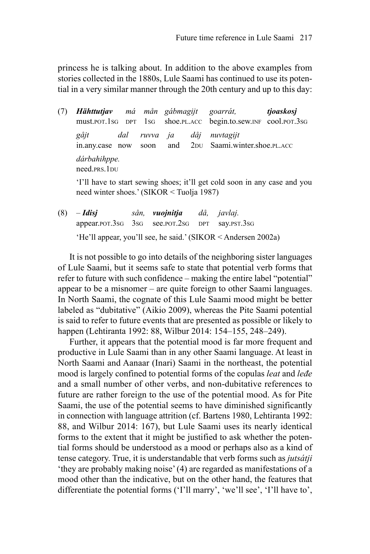princess he is talking about. In addition to the above examples from stories collected in the 1880s, Lule Saami has continued to use its potential in a very similar manner through the 20th century and up to this day:

(7) *Hähttutjav má mån gábmagijt goarrát, tjoaskosj* must.POT.1SG DPT 1SG shoe.PL.ACC begin.to.sew.INF cool.POT.3SG *gåjt dal ruvva ja dåj nuvtagijt* in.any.case now soon and 2DU Saami.winter.shoe.PL.ACC *dárbahihppe.* need.PRS.1DU 'I'll have to start sewing shoes; it'll get cold soon in any case and you

need winter shoes.' (SIKOR < Tuolja 1987)

(8) *– Idisj sån, vuojnitja då, javlaj.* appear.POT.3SG 3SG see.POT.2SG DPT say.PST.3SG 'He'll appear, you'll see, he said.' (SIKOR < Andersen 2002a)

It is not possible to go into details of the neighboring sister languages of Lule Saami, but it seems safe to state that potential verb forms that refer to future with such confidence – making the entire label "potential" appear to be a misnomer – are quite foreign to other Saami languages. In North Saami, the cognate of this Lule Saami mood might be better labeled as "dubitative" (Aikio 2009), whereas the Pite Saami potential is said to refer to future events that are presented as possible or likely to happen (Lehtiranta 1992: 88, Wilbur 2014: 154–155, 248–249).

Further, it appears that the potential mood is far more frequent and productive in Lule Saami than in any other Saami language. At least in North Saami and Aanaar (Inari) Saami in the northeast, the potential mood is largely confined to potential forms of the copulas *leat* and *leđe*  and a small number of other verbs, and non-dubitative references to future are rather foreign to the use of the potential mood. As for Pite Saami, the use of the potential seems to have diminished significantly in connection with language attrition (cf. Bartens 1980, Lehtiranta 1992: 88, and Wilbur 2014: 167), but Lule Saami uses its nearly identical forms to the extent that it might be justified to ask whether the potential forms should be understood as a mood or perhaps also as a kind of tense category. True, it is understandable that verb forms such as *jutsátji* 'they are probably making noise' (4) are regarded as manifestations of a mood other than the indicative, but on the other hand, the features that differentiate the potential forms ('I'll marry', 'we'll see', 'I'll have to',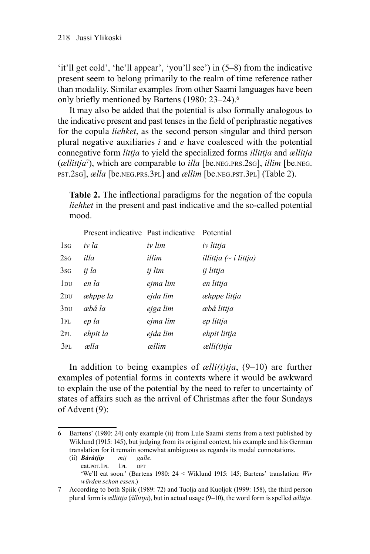'it'll get cold', 'he'll appear', 'you'll see') in (5–8) from the indicative present seem to belong primarily to the realm of time reference rather than modality. Similar examples from other Saami languages have been only briefly mentioned by Bartens (1980: 23–24).6

It may also be added that the potential is also formally analogous to the indicative present and past tenses in the field of periphrastic negatives for the copula *liehket*, as the second person singular and third person plural negative auxiliaries *i* and *e* have coalesced with the potential connegative form *littja* to yield the specialized forms *illittja* and *ællitja* (*ællittja*7), which are comparable to *illa* [be.NEG.PRS.2SG], *illim* [be.NEG. PST.2SG], *ælla* [be.NEG.PRS.3PL] and *ællim* [be.NEG.PST.3PL] (Table 2).

**Table 2.** The inflectional paradigms for the negation of the copula *liehket* in the present and past indicative and the so-called potential mood.

|                 | Present indicative Past indicative |          | Potential                  |
|-----------------|------------------------------------|----------|----------------------------|
| 1sG             | iv la                              | iv lim   | iv littja                  |
| 2sG             | illa                               | illim    | illittja $(\sim$ i littja) |
| 3s <sub>G</sub> | ij la                              | ij lim   | ij littja                  |
| $1_{\rm DU}$    | en la                              | ejma lim | en littja                  |
| 2 <sub>DU</sub> | æhppe la                           | ejda lim | æhppe littja               |
| 3 <sub>DU</sub> | æbá la                             | ejga lim | æbá littja                 |
| 1PI.            | ep la                              | ejma lim | ep littja                  |
| 2PL             | ehpit la                           | ejda lim | ehpit littja               |
| 3PL             | ælla                               | ællim    | $\alpha$ elli $(t)$ tja    |
|                 |                                    |          |                            |

In addition to being examples of *ælli(t)tja*, (9–10) are further examples of potential forms in contexts where it would be awkward to explain the use of the potential by the need to refer to uncertainty of states of affairs such as the arrival of Christmas after the four Sundays of Advent (9):

(ii) *Båråtjip mij galle.* eat.POT.1PL 1PL DPT

<sup>6</sup> Bartens' (1980: 24) only example (ii) from Lule Saami stems from a text published by Wiklund (1915: 145), but judging from its original context, his example and his German translation for it remain somewhat ambiguous as regards its modal connotations.

<sup>&#</sup>x27;We'll eat soon.' (Bartens 1980: 24 < Wiklund 1915: 145; Bartens' translation: *Wir würden schon essen*.)

<sup>7</sup> According to both Spiik (1989: 72) and Tuolja and Kuoljok (1999: 158), the third person plural form is *ællittja* (*ällittja*), but in actual usage (9–10), the word form is spelled *ællitja.*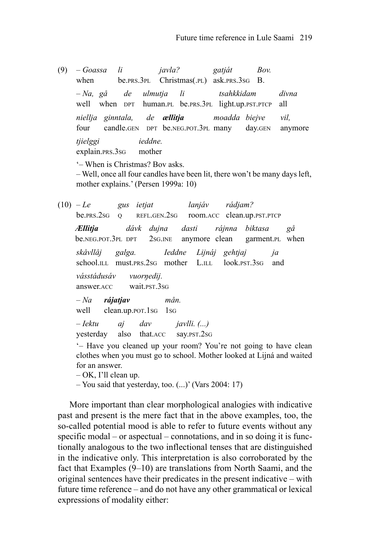- (9)  *Goassa li javla? gatját Bov.* when be.prs.3pl Christmas(.pl) ask.prs.3sG B. *– Na, gå de ulmutja li tsahkkidam divna* well when DPT human.PL be.PRS.3PL light.up.PST.PTCP all *niellja ginntala, de ællitja moadda biejve vil,* four candle.GEN DPT be.NEG.POT.3PL many day.GEN anymore *tjielggi ieddne.* explain.PRS.3SG mother '– When is Christmas? Bov asks. – Well, once all four candles have been lit, there won't be many days left, mother explains.' (Persen 1999a: 10)
- (10)  *Le gus ietjat lanjáv rádjam?* be.PRS.2SG Q REFL.GEN.2SG room.ACC clean.up.PST.PTCP *Ællitja dávk dujna dasti rájnna biktasa gå* be.NEG.POT.3PL DPT 2SG.INE anymore clean garment.PL when *skåvllåj galga. Ieddne Lijnáj gehtjaj ja* school.ILL must.PRS.2SG mother L.ILL look.PST.3SG and *vásstádusáv vuorŋedij.* answer.ACC wait.PST.3SG *– Na rájatjav mån.* well clean.up.por.1sG 1sG *– Iektu aj dav javlli. (...)* yesterday also that.ACC say.PST.2SG '– Have you cleaned up your room? You're not going to have clean clothes when you must go to school. Mother looked at Lijná and waited for an answer. – OK, I'll clean up.
	- You said that yesterday, too. (...)' (Vars 2004: 17)

More important than clear morphological analogies with indicative past and present is the mere fact that in the above examples, too, the so-called potential mood is able to refer to future events without any specific modal – or aspectual – connotations, and in so doing it is functionally analogous to the two inflectional tenses that are distinguished in the indicative only. This interpretation is also corroborated by the fact that Examples (9–10) are translations from North Saami, and the original sentences have their predicates in the present indicative – with future time reference – and do not have any other grammatical or lexical expressions of modality either: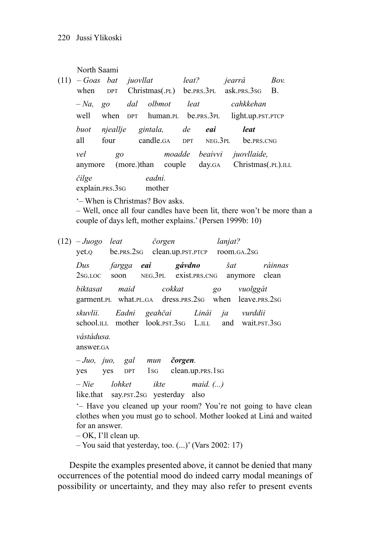North Saami

| $(11)$ - Goas bat juovllat |                 |            |                  |                              | leat? |                                 | jearrá                                            | Bov. |
|----------------------------|-----------------|------------|------------------|------------------------------|-------|---------------------------------|---------------------------------------------------|------|
|                            |                 |            |                  |                              |       |                                 | when DPT Christmas(.pl) be.prs.3pl ask.prs.3sG B. |      |
| $-Na$ .                    | $g_0$           | dal olbmot |                  |                              | leat  |                                 | cahkkehan                                         |      |
| well                       |                 |            |                  |                              |       |                                 | when DPT human.PL be.PRS.3PL light.up.PST.PTCP    |      |
| buot                       | njeallje        |            |                  | gintala, de                  |       | eai                             | leat                                              |      |
| all                        | four            |            |                  |                              |       | $candle_{GA}$ $DPT$ $NEG_{2}PL$ | be.prs.cng                                        |      |
| vel<br>anymore             | $g_0$           |            |                  | moadde<br>(more.)than couple |       |                                 | beaivvi juovllaide,<br>day.GA Christmas(.PL).ILL  |      |
| čilge                      | explain.prs.3sG |            | eadni.<br>mother |                              |       |                                 |                                                   |      |

'– When is Christmas? Bov asks. – Well, once all four candles have been lit, there won't be more than a couple of days left, mother explains.' (Persen 1999b: 10)

- (12)  *Juogo leat čorgen lanjat?* yet.Q be.PRS.2SG clean.up.PST.PTCP room.GA.2SG *Dus fargga eai gávdno šat ráinnas* 2SG.LOC soon NEG.3PL exist.PRS.CNG anymore clean *biktasat maid cokkat go vuolggát* garment.PL what.PL.GA dress.PRS.2SG when leave.PRS.2SG *skuvlii. Eadni geahčai Linái ja vurddii* school.ILL mother look.PST.3SG L.ILL and wait.PST.3SG *vástádusa.* answer.GA *– Juo, juo, gal mun čorgen.* yes yes DPT 1SG clean.up.PRS.1SG *– Nie lohket ikte maid. (...)* like.that say.PST.2SG yesterday also '– Have you cleaned up your room? You're not going to have clean clothes when you must go to school. Mother looked at Liná and waited for an answer. – OK, I'll clean up.
	- You said that yesterday, too. (...)' (Vars 2002: 17)

Despite the examples presented above, it cannot be denied that many occurrences of the potential mood do indeed carry modal meanings of possibility or uncertainty, and they may also refer to present events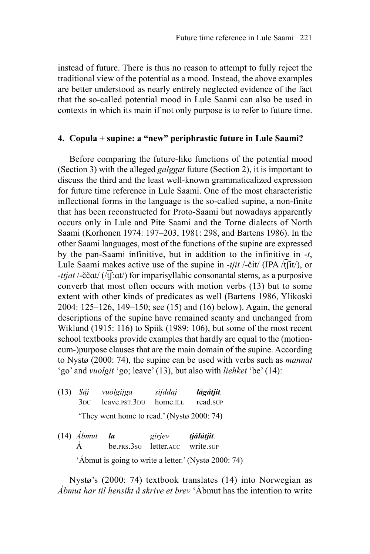instead of future. There is thus no reason to attempt to fully reject the traditional view of the potential as a mood. Instead, the above examples are better understood as nearly entirely neglected evidence of the fact that the so-called potential mood in Lule Saami can also be used in contexts in which its main if not only purpose is to refer to future time.

#### **4. Copula + supine: a "new" periphrastic future in Lule Saami?**

Before comparing the future-like functions of the potential mood (Section 3) with the alleged *galggat* future (Section 2), it is important to discuss the third and the least well-known grammaticalized expression for future time reference in Lule Saami. One of the most characteristic inflectional forms in the language is the so-called supine, a non-finite that has been reconstructed for Proto-Saami but nowadays apparently occurs only in Lule and Pite Saami and the Torne dialects of North Saami (Korhonen 1974: 197–203, 1981: 298, and Bartens 1986). In the other Saami languages, most of the functions of the supine are expressed by the pan-Saami infinitive, but in addition to the infinitive in -*t*, Lule Saami makes active use of the supine in -*tjit* /-čit/ (IPA /t͡ʃit/), or -*ttjat* /-ččɑt/ (/t͡ʃːɑt/) for imparisyllabic consonantal stems, as a purposive converb that most often occurs with motion verbs (13) but to some extent with other kinds of predicates as well (Bartens 1986, Ylikoski 2004: 125–126, 149–150; see (15) and (16) below). Again, the general descriptions of the supine have remained scanty and unchanged from Wiklund (1915: 116) to Spiik (1989: 106), but some of the most recent school textbooks provide examples that hardly are equal to the (motion cum-)purpose clauses that are the main domain of the supine. According to Nystø (2000: 74), the supine can be used with verbs such as *mannat* 'go' and *vuolgit* 'go; leave' (13), but also with *liehket* 'be' (14):

| $(13)$ Såj   | vuolgijga                                  | sijddaj  | lågåtjit. |
|--------------|--------------------------------------------|----------|-----------|
| $3\text{DI}$ | leave.pst.3 <sub>DU</sub>                  | home.ILL | read.sup  |
|              | 'They went home to read.' (Nystø 2000: 74) |          |           |

(14) *Ábmut la girjev tjálátjit.* Á be.PRS.3SG letter.ACC write.SUP 'Ábmut is going to write a letter.' (Nystø 2000: 74)

Nystø's (2000: 74) textbook translates (14) into Norwegian as *Ábmut har til hensikt å skrive et brev* 'Ábmut has the intention to write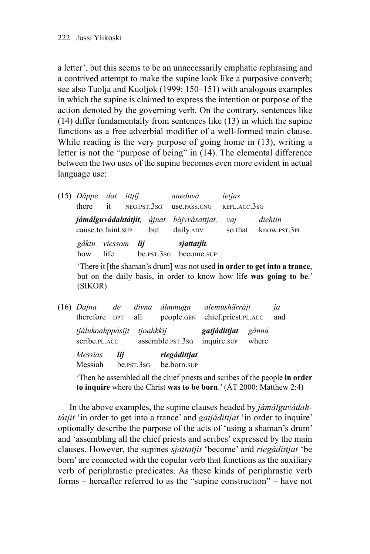a letter', but this seems to be an unnecessarily emphatic rephrasing and a contrived attempt to make the supine look like a purposive converb; see also Tuolja and Kuoljok (1999: 150–151) with analogous examples in which the supine is claimed to express the intention or purpose of the action denoted by the governing verb. On the contrary, sentences like (14) differ fundamentally from sentences like (13) in which the supine functions as a free adverbial modifier of a well-formed main clause. While reading is the very purpose of going home in (13), writing a letter is not the "purpose of being" in (14). The elemental difference between the two uses of the supine becomes even more evident in actual language use:

(15) *Dåppe dat ittjij aneduvá ietjas* there it NEG.PST.3SG use.PASS.CNG REFL.ACC.3SG *jámálguvádahtátjit, ájnat bäjvvásattjat, vaj diehtin* cause.to.faint.SUP but daily.ADV so.that know.PST.3PL *gåktu viessom lij sjattatjit.* how life be pst 3sG become sup

'There it [the shaman's drum] was not used **in order to get into a trance**, but on the daily basis, in order to know how life **was going to be**.' (SIKOR)

| $(16)$ Dajna<br>therefore DPT all         | de  | divna            | álmmuga<br>people.GEN | alemushärrájt<br>chief.priest.PL.ACC |                | ja<br>and |
|-------------------------------------------|-----|------------------|-----------------------|--------------------------------------|----------------|-----------|
| tjálukoahppásijt<br>scribe. <i>PL.ACC</i> |     | tioahkkii        | assemble.psr.3sG      | gatjádittjat<br>inquire.sup          | gånnå<br>where |           |
| Messias                                   | lii |                  | riegádittjat.         |                                      |                |           |
| Messiah                                   |     | $be$ $PST$ $3sg$ | be.born.sup           |                                      |                |           |

'Then he assembled all the chief priests and scribes of the people **in order to inquire** where the Christ **was to be born**.' (ÅT 2000: Matthew 2:4)

In the above examples, the supine clauses headed by *jámálguvádahtátjit* 'in order to get into a trance' and *gatjádittjat* 'in order to inquire' optionally describe the purpose of the acts of 'using a shaman's drum' and 'assembling all the chief priests and scribes' expressed by the main clauses. However, the supines *sjattatjit* 'become' and *riegádittjat* 'be born' are connected with the copular verb that functions as the auxiliary verb of periphrastic predicates. As these kinds of periphrastic verb forms – hereafter referred to as the "supine construction" – have not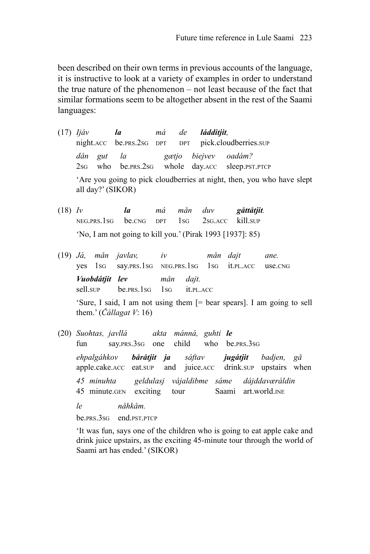been described on their own terms in previous accounts of the language, it is instructive to look at a variety of examples in order to understand the true nature of the phenomenon – not least because of the fact that similar formations seem to be altogether absent in the rest of the Saami languages:

- (17) *Ijáv la má de ládditjit,* night.ACC be.PRS.2SG DPT DPT pick.cloudberries.SUP *dån gut la gætjo biejvev oadám?* 2SG who be.PRS.2SG whole day.ACC sleep.PST.PTCP 'Are you going to pick cloudberries at night, then, you who have slept all day?' (SIKOR)
- (18) *Iv la má mån duv gåttåtjit.* NEG.PRS.1SG be.CNG DPT 1SG 2SG.ACC kill.SUP 'No, I am not going to kill you.' (Pirak 1993 [1937]: 85)
- (19) *Já, mån javlav, iv mån dajt ane.* yes 1SG say.PRS.1SG NEG.PRS.1SG 1SG it.PL.ACC use.CNG *Vuobdátjit lev mån dajt.* sell.sup be.prs.1sg 1sg it.pl.ACC 'Sure, I said, I am not using them [= bear spears]. I am going to sell

them.' (*Čállagat V*: 16)

(20) *Suohtas, javllá akta mánná, guhti le* fun say.PRS.3SG one child who be.PRS.3SG

*ehpalgáhkov båråtjit ja sáftav jugátjit badjen, gå* apple.cake.ACC eat.SUP and juice.ACC drink.SUP upstairs when

*45 minuhta geldulasj vájaldibme sáme dájddaværáldin* 45 minute.GEN exciting tour Saami art.world.INE

*le nåhkåm.*

be.PRS.3SG end.PST.PTCP

'It was fun, says one of the children who is going to eat apple cake and drink juice upstairs, as the exciting 45-minute tour through the world of Saami art has ended.' (SIKOR)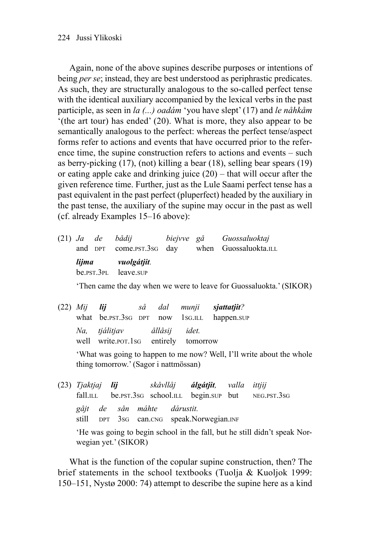Again, none of the above supines describe purposes or intentions of being *per se*; instead, they are best understood as periphrastic predicates. As such, they are structurally analogous to the so-called perfect tense with the identical auxiliary accompanied by the lexical verbs in the past participle, as seen in *la (...) oadám* 'you have slept' (17) and *le nåhkåm* '(the art tour) has ended' (20). What is more, they also appear to be semantically analogous to the perfect: whereas the perfect tense/aspect forms refer to actions and events that have occurred prior to the reference time, the supine construction refers to actions and events – such as berry-picking (17), (not) killing a bear (18), selling bear spears (19) or eating apple cake and drinking juice (20) – that will occur after the given reference time. Further, just as the Lule Saami perfect tense has a past equivalent in the past perfect (pluperfect) headed by the auxiliary in the past tense, the auxiliary of the supine may occur in the past as well (cf. already Examples 15–16 above):

(21) *Ja de bådij biejvve gå Guossaluoktaj* and DPT come.PST.3SG day when Guossaluokta.ILL *lijma vuolgátjit.* be.PST.3PL leave.SUP

'Then came the day when we were to leave for Guossaluokta.' (SIKOR)

| $(22)$ <i>Mij</i> <b>lij</b> |                                                                     |  | så dal munji <b>sjattatjit</b> ?           |
|------------------------------|---------------------------------------------------------------------|--|--------------------------------------------|
|                              |                                                                     |  | what be.pst.3sg DPT now 1sg.ILL happen.sup |
|                              | Na, tjálitjav allásij idet.<br>well write.por.1sq entirely tomorrow |  |                                            |
|                              |                                                                     |  |                                            |

'What was going to happen to me now? Well, I'll write about the whole thing tomorrow.' (Sagor i nattmössan)

(23) *Tjaktjaj lij skåvllåj álgátjit, valla ittjij* fall.ILL be.pst.3sG school.ILL begin.sup but NEG.PST.3sG *gåjt de sån máhte dárustit.* still DPT 3SG can.CNG speak.Norwegian.INF 'He was going to begin school in the fall, but he still didn't speak Norwegian yet.' (SIKOR)

What is the function of the copular supine construction, then? The brief statements in the school textbooks (Tuolja & Kuoljok 1999: 150–151, Nystø 2000: 74) attempt to describe the supine here as a kind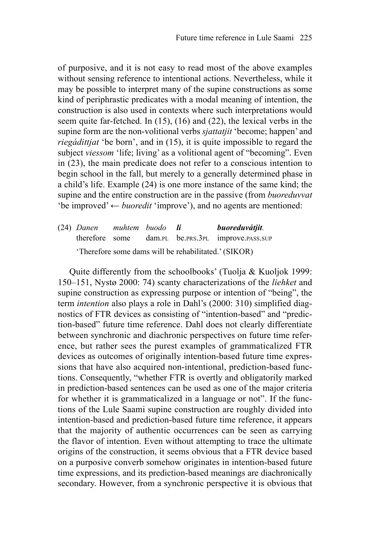of purposive, and it is not easy to read most of the above examples without sensing reference to intentional actions. Nevertheless, while it may be possible to interpret many of the supine constructions as some kind of periphrastic predicates with a modal meaning of intention, the construction is also used in contexts where such interpretations would seem quite far-fetched. In (15), (16) and (22), the lexical verbs in the supine form are the non-volitional verbs *sjattatjit* 'become; happen' and *riegádittjat* 'be born', and in (15), it is quite impossible to regard the subject *viessom* 'life; living' as a volitional agent of "becoming". Even in (23), the main predicate does not refer to a conscious intention to begin school in the fall, but merely to a generally determined phase in a child's life. Example (24) is one more instance of the same kind; the supine and the entire construction are in the passive (from *buoreduvvat* 'be improved' ← *buoredit* 'improve'), and no agents are mentioned:

(24) *Danen muhtem buodo li buoreduvátjit.* therefore some dam.PL be.PRS.3PL improve.PASS.SUP 'Therefore some dams will be rehabilitated.' (SIKOR)

Quite differently from the schoolbooks' (Tuolja & Kuoljok 1999: 150–151, Nystø 2000: 74) scanty characterizations of the *liehket* and supine construction as expressing purpose or intention of "being", the term *intention* also plays a role in Dahl's (2000: 310) simplified diagnostics of FTR devices as consisting of "intention-based" and "prediction-based" future time reference. Dahl does not clearly differentiate between synchronic and diachronic perspectives on future time reference, but rather sees the purest examples of grammaticalized FTR devices as outcomes of originally intention-based future time expressions that have also acquired non-intentional, prediction-based functions. Consequently, "whether FTR is overtly and obligatorily marked in prediction-based sentences can be used as one of the major criteria for whether it is grammaticalized in a language or not". If the functions of the Lule Saami supine construction are roughly divided into intention-based and prediction-based future time reference, it appears that the majority of authentic occurrences can be seen as carrying the flavor of intention. Even without attempting to trace the ultimate origins of the construction, it seems obvious that a FTR device based on a purposive converb somehow originates in intention-based future time expressions, and its prediction-based meanings are diachronically secondary. However, from a synchronic perspective it is obvious that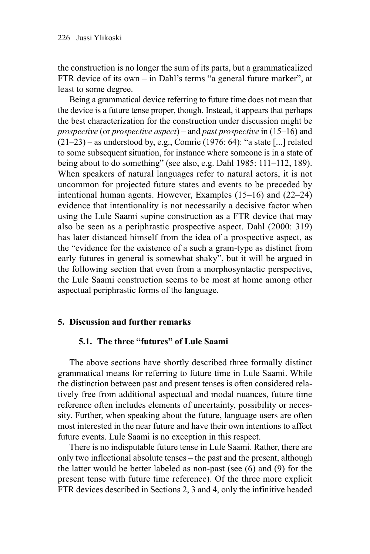the construction is no longer the sum of its parts, but a grammaticalized FTR device of its own – in Dahl's terms "a general future marker", at least to some degree.

Being a grammatical device referring to future time does not mean that the device is a future tense proper, though. Instead, it appears that perhaps the best characterization for the construction under discussion might be *prospective* (or *prospective aspect*) – and *past prospective* in (15–16) and  $(21-23)$  – as understood by, e.g., Comrie (1976: 64): "a state [...] related to some subsequent situation, for instance where someone is in a state of being about to do something" (see also, e.g. Dahl 1985: 111–112, 189). When speakers of natural languages refer to natural actors, it is not uncommon for projected future states and events to be preceded by intentional human agents. However, Examples (15–16) and (22–24) evidence that intentionality is not necessarily a decisive factor when using the Lule Saami supine construction as a FTR device that may also be seen as a periphrastic prospective aspect. Dahl (2000: 319) has later distanced himself from the idea of a prospective aspect, as the "evidence for the existence of a such a gram-type as distinct from early futures in general is somewhat shaky", but it will be argued in the following section that even from a morphosyntactic perspective, the Lule Saami construction seems to be most at home among other aspectual periphrastic forms of the language.

## **5. Discussion and further remarks**

## **5.1. The three "futures" of Lule Saami**

The above sections have shortly described three formally distinct grammatical means for referring to future time in Lule Saami. While the distinction between past and present tenses is often considered relatively free from additional aspectual and modal nuances, future time reference often includes elements of uncertainty, possibility or necessity. Further, when speaking about the future, language users are often most interested in the near future and have their own intentions to affect future events. Lule Saami is no exception in this respect.

There is no indisputable future tense in Lule Saami. Rather, there are only two inflectional absolute tenses – the past and the present, although the latter would be better labeled as non-past (see (6) and (9) for the present tense with future time reference). Of the three more explicit FTR devices described in Sections 2, 3 and 4, only the infinitive headed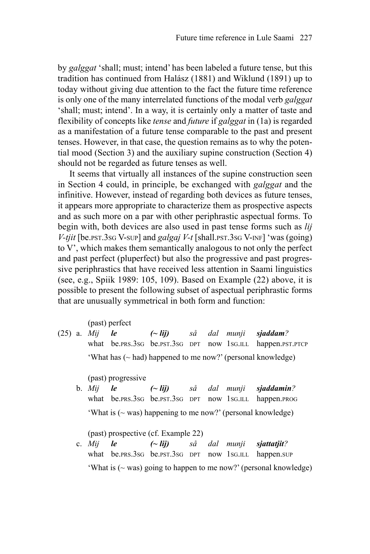by *galggat* 'shall; must; intend' has been labeled a future tense, but this tradition has continued from Halász (1881) and Wiklund (1891) up to today without giving due attention to the fact the future time reference is only one of the many interrelated functions of the modal verb *galggat* 'shall; must; intend'. In a way, it is certainly only a matter of taste and flexibility of concepts like *tense* and *future* if *galggat* in (1a) is regarded as a manifestation of a future tense comparable to the past and present tenses. However, in that case, the question remains as to why the potential mood (Section 3) and the auxiliary supine construction (Section 4) should not be regarded as future tenses as well.

 It seems that virtually all instances of the supine construction seen in Section 4 could, in principle, be exchanged with *galggat* and the infinitive. However, instead of regarding both devices as future tenses, it appears more appropriate to characterize them as prospective aspects and as such more on a par with other periphrastic aspectual forms. To begin with, both devices are also used in past tense forms such as *lij V-tjit* [be.PST.3SG V-SUP] and *galgaj V-t* [shall.PST.3SG V-INF] 'was (going) to V', which makes them semantically analogous to not only the perfect and past perfect (pluperfect) but also the progressive and past progressive periphrastics that have received less attention in Saami linguistics (see, e.g., Spiik 1989: 105, 109). Based on Example  $(22)$  above, it is possible to present the following subset of aspectual periphrastic forms that are unusually symmetrical in both form and function:

(past) perfect

(25) a. *Mij le (~ lij) så dal munji sjaddam?* what be.prs.3sg be.pst.3sg DPT now 1sg.ILL happen.pst.ptcp 'What has (~ had) happened to me now?' (personal knowledge)

(past) progressive

b. *Mij le (~ lij) så dal munji sjaddamin?* what be.prs.3sG be.pst.3sG DPT now 1sG.ILL happen.prog 'What is  $(\sim$  was) happening to me now?' (personal knowledge)

(past) prospective (cf. Example 22)

c. *Mij le (~ lij) så dal munji sjattatjit?* what be.prs.3sG be.pst.3sG DPT now 1sG.ILL happen.sup 'What is  $(\sim$  was) going to happen to me now?' (personal knowledge)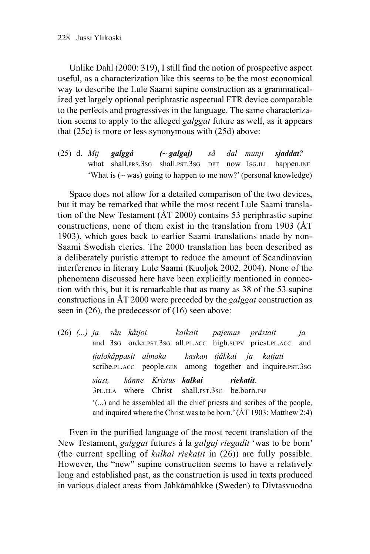Unlike Dahl (2000: 319), I still find the notion of prospective aspect useful, as a characterization like this seems to be the most economical way to describe the Lule Saami supine construction as a grammaticalized yet largely optional periphrastic aspectual FTR device comparable to the perfects and progressives in the language. The same characterization seems to apply to the alleged *galggat* future as well, as it appears that (25c) is more or less synonymous with (25d) above:

(25) d. *Mij galggá (~ galgaj) så dal munji sjaddat?* what shall.PRS.3SG shall.PST.3SG DPT now 1SG.ILL happen.INF 'What is  $(\sim$  was) going to happen to me now?' (personal knowledge)

Space does not allow for a detailed comparison of the two devices, but it may be remarked that while the most recent Lule Saami translation of the New Testament (ÅT 2000) contains 53 periphrastic supine constructions, none of them exist in the translation from 1903 (ÅT 1903), which goes back to earlier Saami translations made by non-Saami Swedish clerics. The 2000 translation has been described as a deliberately puristic attempt to reduce the amount of Scandinavian interference in literary Lule Saami (Kuoljok 2002, 2004). None of the phenomena discussed here have been explicitly mentioned in connection with this, but it is remarkable that as many as 38 of the 53 supine constructions in ÅT 2000 were preceded by the *galggat* construction as seen in (26), the predecessor of (16) seen above:

(26) *(...) ja sån kåtjoi kaikait pajemus prästait ja* and 3SG order.PST.3SG all.PL.ACC high.SUPV priest.PL.ACC and *tjalokåppasit almoka kaskan tjåkkai ja katjati* scribe.PL.ACC people.GEN among together and inquire.PST.3SG *siast, kånne Kristus kalkai riekatit.* 3PL.ELA where Christ shall.PST.3SG be.born.INF '(...) and he assembled all the chief priests and scribes of the people, and inquired where the Christ was to be born.' (ÅT 1903: Matthew 2:4)

Even in the purified language of the most recent translation of the New Testament, *galggat* futures à la *galgaj riegadit* 'was to be born' (the current spelling of *kalkai riekatit* in (26)) are fully possible. However, the "new" supine construction seems to have a relatively long and established past, as the construction is used in texts produced in various dialect areas from Jåhkåmåhkke (Sweden) to Divtasvuodna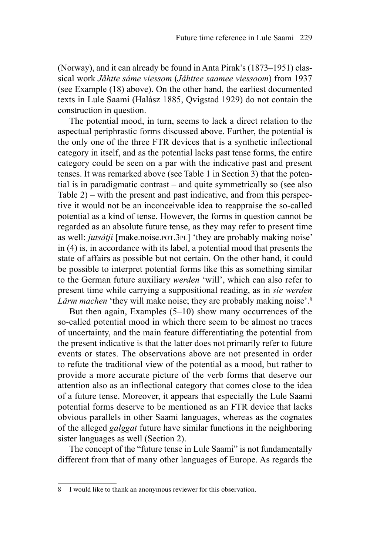(Norway), and it can already be found in Anta Pirak's (1873–1951) classical work *Jåhtte sáme viessom* (*Jåhttee saamee viessoom*) from 1937 (see Example (18) above). On the other hand, the earliest documented texts in Lule Saami (Halász 1885, Qvigstad 1929) do not contain the construction in question.

The potential mood, in turn, seems to lack a direct relation to the aspectual periphrastic forms discussed above. Further, the potential is the only one of the three FTR devices that is a synthetic inflectional category in itself, and as the potential lacks past tense forms, the entire category could be seen on a par with the indicative past and present tenses. It was remarked above (see Table 1 in Section 3) that the potential is in paradigmatic contrast – and quite symmetrically so (see also Table  $2$ ) – with the present and past indicative, and from this perspective it would not be an inconceivable idea to reappraise the so-called potential as a kind of tense. However, the forms in question cannot be regarded as an absolute future tense, as they may refer to present time as well: *jutsátji* [make.noise.POT.3PL] 'they are probably making noise' in (4) is, in accordance with its label, a potential mood that presents the state of affairs as possible but not certain. On the other hand, it could be possible to interpret potential forms like this as something similar to the German future auxiliary *werden* 'will', which can also refer to present time while carrying a suppositional reading, as in *sie werden Lärm machen* 'they will make noise; they are probably making noise'.8

But then again, Examples (5–10) show many occurrences of the so-called potential mood in which there seem to be almost no traces of uncertainty, and the main feature differentiating the potential from the present indicative is that the latter does not primarily refer to future events or states. The observations above are not presented in order to refute the traditional view of the potential as a mood, but rather to provide a more accurate picture of the verb forms that deserve our attention also as an inflectional category that comes close to the idea of a future tense. Moreover, it appears that especially the Lule Saami potential forms deserve to be mentioned as an FTR device that lacks obvious parallels in other Saami languages, whereas as the cognates of the alleged *galggat* future have similar functions in the neighboring sister languages as well (Section 2).

The concept of the "future tense in Lule Saami" is not fundamentally different from that of many other languages of Europe. As regards the

<sup>8</sup> I would like to thank an anonymous reviewer for this observation.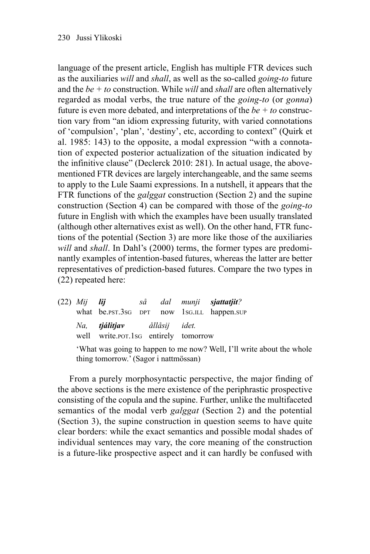language of the present article, English has multiple FTR devices such as the auxiliaries *will* and *shall*, as well as the so-called *going-to* future and the *be + to* construction. While *will* and *shall* are often alternatively regarded as modal verbs, the true nature of the *going-to* (or *gonna*) future is even more debated, and interpretations of the *be + to* construction vary from "an idiom expressing futurity, with varied connotations of 'compulsion', 'plan', 'destiny', etc, according to context" (Quirk et al. 1985: 143) to the opposite, a modal expression "with a connotation of expected posterior actualization of the situation indicated by the infinitive clause" (Declerck 2010: 281). In actual usage, the abovementioned FTR devices are largely interchangeable, and the same seems to apply to the Lule Saami expressions. In a nutshell, it appears that the FTR functions of the *galggat* construction (Section 2) and the supine construction (Section 4) can be compared with those of the *going-to* future in English with which the examples have been usually translated (although other alternatives exist as well). On the other hand, FTR functions of the potential (Section 3) are more like those of the auxiliaries *will* and *shall*. In Dahl's (2000) terms, the former types are predominantly examples of intention-based futures, whereas the latter are better representatives of prediction-based futures. Compare the two types in (22) repeated here:

|                                                                                                                |     | (22) Mij <b>lij</b> så dal munji s <b>jattatjit</b> ?                  |  |  |  |                                             |
|----------------------------------------------------------------------------------------------------------------|-----|------------------------------------------------------------------------|--|--|--|---------------------------------------------|
|                                                                                                                |     |                                                                        |  |  |  | what be.pst.3sg DPT now 1sg.u.l. happen.sup |
|                                                                                                                | Na. | <b>tjálitjav</b> ållåsij idet.<br>well write.por.1sG entirely tomorrow |  |  |  |                                             |
| 'What was going to happen to me now? Well, I'll write about the whole<br>thing tomorrow.' (Sagor i nattmössan) |     |                                                                        |  |  |  |                                             |

From a purely morphosyntactic perspective, the major finding of the above sections is the mere existence of the periphrastic prospective consisting of the copula and the supine. Further, unlike the multifaceted semantics of the modal verb *galggat* (Section 2) and the potential (Section 3), the supine construction in question seems to have quite clear borders: while the exact semantics and possible modal shades of individual sentences may vary, the core meaning of the construction is a future-like prospective aspect and it can hardly be confused with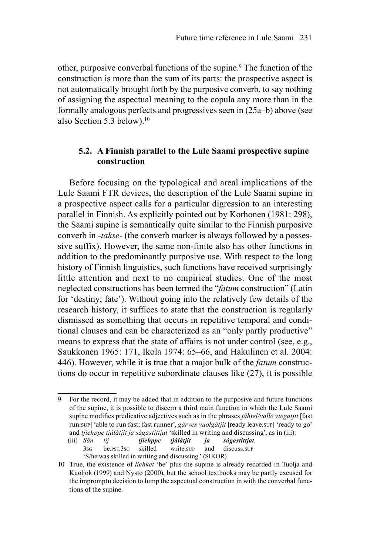other, purposive converbal functions of the supine.9 The function of the construction is more than the sum of its parts: the prospective aspect is not automatically brought forth by the purposive converb, to say nothing of assigning the aspectual meaning to the copula any more than in the formally analogous perfects and progressives seen in (25a–b) above (see also Section 5.3 below).10

# **5.2. A Finnish parallel to the Lule Saami prospective supine construction**

Before focusing on the typological and areal implications of the Lule Saami FTR devices, the description of the Lule Saami supine in a prospective aspect calls for a particular digression to an interesting parallel in Finnish. As explicitly pointed out by Korhonen (1981: 298), the Saami supine is semantically quite similar to the Finnish purposive converb in -*takse*- (the converb marker is always followed by a possessive suffix). However, the same non-finite also has other functions in addition to the predominantly purposive use. With respect to the long history of Finnish linguistics, such functions have received surprisingly little attention and next to no empirical studies. One of the most neglected constructions has been termed the "*fatum* construction" (Latin for 'destiny; fate'). Without going into the relatively few details of the research history, it suffices to state that the construction is regularly dismissed as something that occurs in repetitive temporal and conditional clauses and can be characterized as an "only partly productive" means to express that the state of affairs is not under control (see, e.g., Saukkonen 1965: 171, Ikola 1974: 65–66, and Hakulinen et al. 2004: 446). However, while it is true that a major bulk of the *fatum* constructions do occur in repetitive subordinate clauses like (27), it is possible

<sup>9</sup> For the record, it may be added that in addition to the purposive and future functions of the supine, it is possible to discern a third main function in which the Lule Saami supine modifies predicative adjectives such as in the phrases *jåhtel/valle viegatjit* [fast] run.SUP] 'able to run fast; fast runner', *gárves vuolgátjit* [ready leave.SUP] 'ready to go' and *tjiehppe tjálátjit ja ságastittjat* 'skilled in writing and discussing', as in (iii):

<sup>(</sup>iii) *Sån lij tjiehppe tjálátjit ja ságastittjat.* 3SG be.PST.3SG skilled write.SUP and discuss.SUP 'S/he was skilled in writing and discussing.' (SIKOR)

<sup>10</sup> True, the existence of *liehket* 'be' plus the supine is already recorded in Tuolja and Kuoljok (1999) and Nystø (2000), but the school textbooks may be partly excused for the impromptu decision to lump the aspectual construction in with the converbal functions of the supine.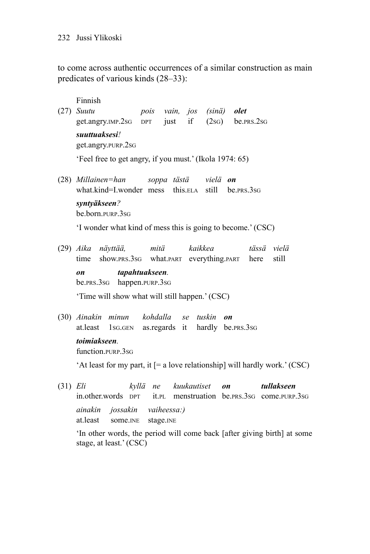#### 232 Jussi Ylikoski

to come across authentic occurrences of a similar construction as main predicates of various kinds (28–33):

- Finnish (27) *Suutu pois vain, jos (sinä) olet* get.angry.IMP.2SG DPT just if (2SG) be.PRS.2SG *suuttuaksesi!* get.angry.PURP.2SG 'Feel free to get angry, if you must.' (Ikola 1974: 65) (28) *Millainen=han soppa tästä vielä on*
- what.kind=I.wonder mess this.ELA still be.PRS.3SG *syntyäkseen?* be.born.PURP.3SG

'I wonder what kind of mess this is going to become.' (CSC)

(29) *Aika näyttää, mitä kaikkea tässä vielä* time show.PRS.3SG what.PART everything.PART here still *on tapahtuakseen.* be.PRS.3SG happen.PURP.3SG

'Time will show what will still happen.' (CSC)

(30) *Ainakin minun kohdalla se tuskin on* at.least 1SG.GEN as.regards it hardly be.PRS.3SG *toimiakseen.* function.PURP.3SG

'At least for my part, it [= a love relationship] will hardly work.' (CSC)

(31) *Eli kyllä ne kuukautiset on tullakseen* in.other.words DPT it.PL menstruation be.PRS.3SG come.PURP.3SG *ainakin jossakin vaiheessa:)* at.least some.INE stage.INE 'In other words, the period will come back [after giving birth] at some

stage, at least.' (CSC)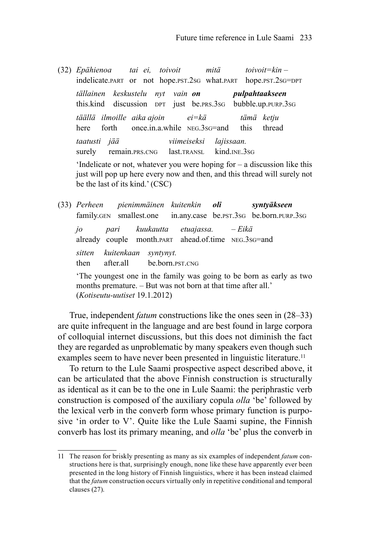(32) *Epähienoa tai ei, toivoit mitä toivoit=kin –* indelicate.PART or not hope.PST.2SG what.PART hope.PST.2SG=DPT *tällainen keskustelu nyt vain on pulpahtaakseen* this.kind discussion DPT just be.PRS.3SG bubble.up.PURP.3SG *täällä ilmoille aika ajoin ei=kä tämä ketju* here forth once.in.a.while NEG.3sG=and this thread *taatusti jää viimeiseksi lajissaan.* surely remain.PRS.CNG last.TRANSL kind.INE.3SG 'Indelicate or not, whatever you were hoping for – a discussion like this just will pop up here every now and then, and this thread will surely not

be the last of its kind.' (CSC)

(33) *Perheen pienimmäinen kuitenkin oli syntyäkseen* family.GEN smallest.one in.any.case be.PST.3SG be.born.PURP.3SG *jo pari kuukautta etuajassa. – Eikä* already couple month.PART ahead.of.time NEG.3SG=and *sitten kuitenkaan syntynyt.* then after.all be.born.PST.CNG 'The youngest one in the family was going to be born as early as two months premature. – But was not born at that time after all.'

(*Kotiseutu-uutiset* 19.1.2012)

True, independent *fatum* constructions like the ones seen in (28–33) are quite infrequent in the language and are best found in large corpora of colloquial internet discussions, but this does not diminish the fact they are regarded as unproblematic by many speakers even though such examples seem to have never been presented in linguistic literature.<sup>11</sup>

To return to the Lule Saami prospective aspect described above, it can be articulated that the above Finnish construction is structurally as identical as it can be to the one in Lule Saami: the periphrastic verb construction is composed of the auxiliary copula *olla* 'be' followed by the lexical verb in the converb form whose primary function is purposive 'in order to V'. Quite like the Lule Saami supine, the Finnish converb has lost its primary meaning, and *olla* 'be' plus the converb in

<sup>11</sup> The reason for briskly presenting as many as six examples of independent *fatum* constructions here is that, surprisingly enough, none like these have apparently ever been presented in the long history of Finnish linguistics, where it has been instead claimed that the *fatum* construction occurs virtually only in repetitive conditional and temporal clauses (27).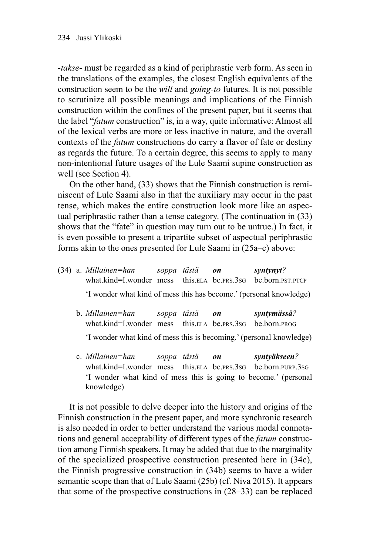-*takse*- must be regarded as a kind of periphrastic verb form. As seen in the translations of the examples, the closest English equivalents of the construction seem to be the *will* and *going-to* futures. It is not possible to scrutinize all possible meanings and implications of the Finnish construction within the confines of the present paper, but it seems that the label "*fatum* construction" is, in a way, quite informative: Almost all of the lexical verbs are more or less inactive in nature, and the overall contexts of the *fatum* constructions do carry a flavor of fate or destiny as regards the future. To a certain degree, this seems to apply to many non-intentional future usages of the Lule Saami supine construction as well (see Section 4).

On the other hand, (33) shows that the Finnish construction is reminiscent of Lule Saami also in that the auxiliary may occur in the past tense, which makes the entire construction look more like an aspectual periphrastic rather than a tense category. (The continuation in (33) shows that the "fate" in question may turn out to be untrue.) In fact, it is even possible to present a tripartite subset of aspectual periphrastic forms akin to the ones presented for Lule Saami in (25a–c) above:

- (34) a. *Millainen=han soppa tästä on syntynyt?* what.kind=I.wonder mess this.ELA be.PRS.3SG be.born.PST.PTCP 'I wonder what kind of mess this has become.' (personal knowledge)
	- b. *Millainen=han soppa tästä on syntymässä?* what kind=I wonder mess this ELA be.prs.3sG be.porn.prog 'I wonder what kind of mess this is becoming.' (personal knowledge)
	- c. *Millainen=han soppa tästä on syntyäkseen?* what.kind=I.wonder mess this.ELA be.PRS.3SG be.born.PURP.3SG 'I wonder what kind of mess this is going to become.' (personal knowledge)

It is not possible to delve deeper into the history and origins of the Finnish construction in the present paper, and more synchronic research is also needed in order to better understand the various modal connotations and general acceptability of different types of the *fatum* construction among Finnish speakers. It may be added that due to the marginality of the specialized prospective construction presented here in (34c), the Finnish progressive construction in (34b) seems to have a wider semantic scope than that of Lule Saami (25b) (cf. Niva 2015). It appears that some of the prospective constructions in (28–33) can be replaced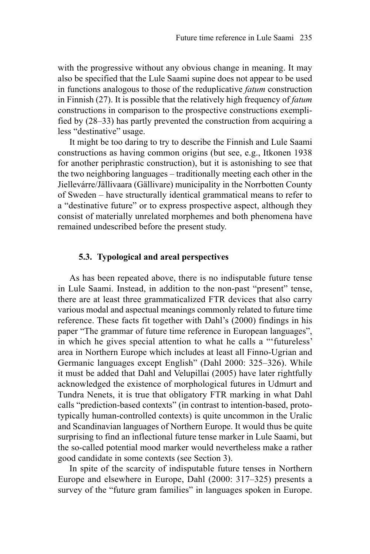with the progressive without any obvious change in meaning. It may also be specified that the Lule Saami supine does not appear to be used in functions analogous to those of the reduplicative *fatum* construction in Finnish (27). It is possible that the relatively high frequency of *fatum* constructions in comparison to the prospective constructions exemplified by (28–33) has partly prevented the construction from acquiring a less "destinative" usage.

It might be too daring to try to describe the Finnish and Lule Saami constructions as having common origins (but see, e.g., Itkonen 1938 for another periphrastic construction), but it is astonishing to see that the two neighboring languages – traditionally meeting each other in the Jiellevárre/Jällivaara (Gällivare) municipality in the Norrbotten County of Sweden – have structurally identical grammatical means to refer to a "destinative future" or to express prospective aspect, although they consist of materially unrelated morphemes and both phenomena have remained undescribed before the present study.

#### **5.3. Typological and areal perspectives**

As has been repeated above, there is no indisputable future tense in Lule Saami. Instead, in addition to the non-past "present" tense, there are at least three grammaticalized FTR devices that also carry various modal and aspectual meanings commonly related to future time reference. These facts fit together with Dahl's (2000) findings in his paper "The grammar of future time reference in European languages", in which he gives special attention to what he calls a "'futureless' area in Northern Europe which includes at least all Finno-Ugrian and Germanic languages except English" (Dahl 2000: 325–326). While it must be added that Dahl and Velupillai (2005) have later rightfully acknowledged the existence of morphological futures in Udmurt and Tundra Nenets, it is true that obligatory FTR marking in what Dahl calls "prediction-based contexts" (in contrast to intention-based, prototypically human-controlled contexts) is quite uncommon in the Uralic and Scandinavian languages of Northern Europe. It would thus be quite surprising to find an inflectional future tense marker in Lule Saami, but the so-called potential mood marker would nevertheless make a rather good candidate in some contexts (see Section 3).

In spite of the scarcity of indisputable future tenses in Northern Europe and elsewhere in Europe, Dahl (2000: 317–325) presents a survey of the "future gram families" in languages spoken in Europe.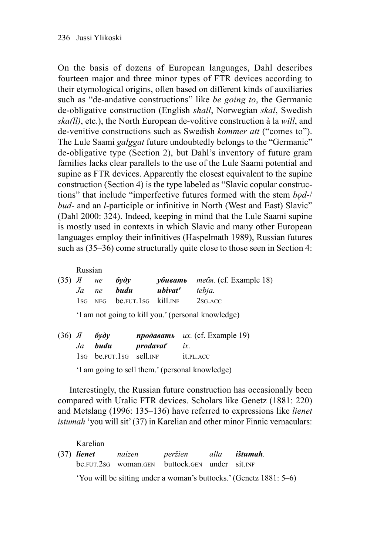On the basis of dozens of European languages, Dahl describes fourteen major and three minor types of FTR devices according to their etymological origins, often based on different kinds of auxiliaries such as "de-andative constructions" like *be going to*, the Germanic de- obligative construction (English *shall*, Norwegian *skal*, Swedish *ska(ll)*, etc.), the North European de-volitive construction à la *will*, and de-venitive constructions such as Swedish *kommer att* ("comes to"). The Lule Saami *galggat* future undoubtedly belongs to the "Germanic" de-obligative type (Section 2), but Dahl's inventory of future gram families lacks clear parallels to the use of the Lule Saami potential and supine as FTR devices. Apparently the closest equivalent to the supine construction (Section 4) is the type labeled as "Slavic copular constructions" that include "imperfective futures formed with the stem *bǫd*-/ *bud*- and an *l*-participle or infinitive in North (West and East) Slavic" (Dahl 2000: 324). Indeed, keeping in mind that the Lule Saami supine is mostly used in contexts in which Slavic and many other European languages employ their infinitives (Haspelmath 1989), Russian futures such as (35–36) come structurally quite close to those seen in Section 4:

Russian

|  | $(35)$ <i>A He</i> <b>bydy</b>      | $\gamma$ бивать тебя. (cf. Example 18) |
|--|-------------------------------------|----------------------------------------|
|  | Ja ne <b>budu - ubivat'</b> tebja.  |                                        |
|  | 1sg NEG be.FUT.1sg kill.INF 2sg.ACC |                                        |

'I am not going to kill you.' (personal knowledge)

|  | $(36)$ $A$ $6ydy$       |                      | $npoda\epsilon$ and $ux$ . (cf. Example 19) |
|--|-------------------------|----------------------|---------------------------------------------|
|  | Ja <b>budu</b>          | <b>prodavat'</b> ix. |                                             |
|  | 1sg be.fur.1sg sell.INF |                      | it.pl.acc                                   |

'I am going to sell them.' (personal knowledge)

Interestingly, the Russian future construction has occasionally been compared with Uralic FTR devices. Scholars like Genetz (1881: 220) and Metslang (1996: 135–136) have referred to expressions like *lienet istumah* 'you will sit' (37) in Karelian and other minor Finnic vernaculars:

Karelian (37) *lienet naizen peržien alla ištumah.* be.FUT.2SG woman.GEN buttock.GEN under sit.INF 'You will be sitting under a woman's buttocks.' (Genetz 1881: 5–6)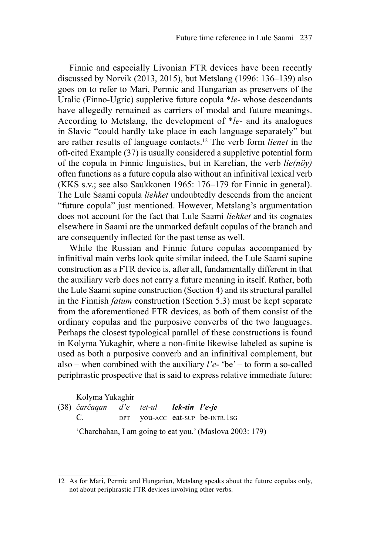Finnic and especially Livonian FTR devices have been recently discussed by Norvik (2013, 2015), but Metslang (1996: 136–139) also goes on to refer to Mari, Permic and Hungarian as preservers of the Uralic (Finno-Ugric) suppletive future copula \**le*- whose descendants have allegedly remained as carriers of modal and future meanings. According to Metslang, the development of \**le*- and its analogues in Slavic "could hardly take place in each language separately" but are rather results of language contacts.12 The verb form *lienet* in the oft-cited Example (37) is usually considered a suppletive potential form of the copula in Finnic linguistics, but in Karelian, the verb *lie(nöy)* often functions as a future copula also without an infinitival lexical verb (KKS s.v.; see also Saukkonen 1965: 176–179 for Finnic in general). The Lule Saami copula *liehket* undoubtedly descends from the ancient "future copula" just mentioned. However, Metslang's argumentation does not account for the fact that Lule Saami *liehket* and its cognates elsewhere in Saami are the unmarked default copulas of the branch and are consequently inflected for the past tense as well.

While the Russian and Finnic future copulas accompanied by infinitival main verbs look quite similar indeed, the Lule Saami supine construction as a FTR device is, after all, fundamentally different in that the auxiliary verb does not carry a future meaning in itself. Rather, both the Lule Saami supine construction (Section 4) and its structural parallel in the Finnish *fatum* construction (Section 5.3) must be kept separate from the aforementioned FTR devices, as both of them consist of the ordinary copulas and the purposive converbs of the two languages. Perhaps the closest typological parallel of these constructions is found in Kolyma Yukaghir, where a non-finite likewise labeled as supine is used as both a purposive converb and an infinitival complement, but also – when combined with the auxiliary *l'e*- 'be' – to form a so-called periphrastic prospective that is said to express relative immediate future:

#### Kolyma Yukaghir

| (38) čarčagan d'e tet-ul <b>lek-tin l'e-je</b> |  |                                                          |
|------------------------------------------------|--|----------------------------------------------------------|
| C.                                             |  | DPT <b>vou-ACC</b> eat-sup be-INTR.1sG                   |
|                                                |  | 'Charchahan, I am going to eat you.' (Maslova 2003: 179) |

<sup>12</sup> As for Mari, Permic and Hungarian, Metslang speaks about the future copulas only, not about periphrastic FTR devices involving other verbs.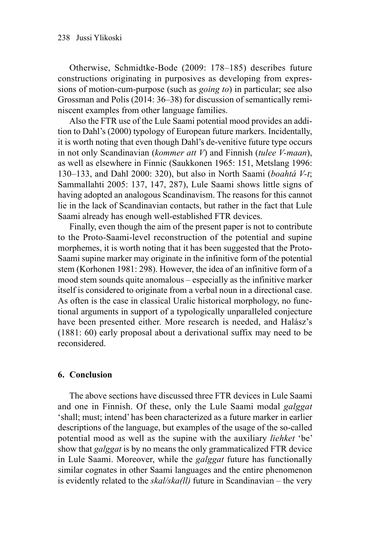Otherwise, Schmidtke-Bode (2009: 178–185) describes future constructions originating in purposives as developing from expressions of motion-cum-purpose (such as *going to*) in particular; see also Grossman and Polis (2014: 36–38) for discussion of semantically reminiscent examples from other language families.

Also the FTR use of the Lule Saami potential mood provides an addition to Dahl's (2000) typology of European future markers. Incidentally, it is worth noting that even though Dahl's de-venitive future type occurs in not only Scandinavian (*kommer att V*) and Finnish (*tulee V-maan*), as well as elsewhere in Finnic (Saukkonen 1965: 151, Metslang 1996: 130–133, and Dahl 2000: 320), but also in North Saami (*boahtá V-t*; Sammallahti 2005: 137, 147, 287), Lule Saami shows little signs of having adopted an analogous Scandinavism. The reasons for this cannot lie in the lack of Scandinavian contacts, but rather in the fact that Lule Saami already has enough well-established FTR devices.

Finally, even though the aim of the present paper is not to contribute to the Proto-Saami-level reconstruction of the potential and supine morphemes, it is worth noting that it has been suggested that the Proto-Saami supine marker may originate in the infinitive form of the potential stem (Korhonen 1981: 298). However, the idea of an infinitive form of a mood stem sounds quite anomalous – especially as the infinitive marker itself is considered to originate from a verbal noun in a directional case. As often is the case in classical Uralic historical morphology, no functional arguments in support of a typologically unparalleled conjecture have been presented either. More research is needed, and Halász's (1881: 60) early proposal about a derivational suffix may need to be reconsidered.

#### **6. Conclusion**

The above sections have discussed three FTR devices in Lule Saami and one in Finnish. Of these, only the Lule Saami modal *galggat* 'shall; must; intend' has been characterized as a future marker in earlier descriptions of the language, but examples of the usage of the so-called potential mood as well as the supine with the auxiliary *liehket* 'be' show that *galggat* is by no means the only grammaticalized FTR device in Lule Saami. Moreover, while the *galggat* future has functionally similar cognates in other Saami languages and the entire phenomenon is evidently related to the *skal/ska(ll)* future in Scandinavian – the very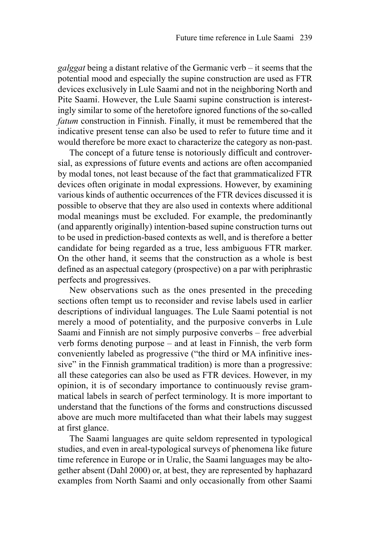*galggat* being a distant relative of the Germanic verb – it seems that the potential mood and especially the supine construction are used as FTR devices exclusively in Lule Saami and not in the neighboring North and Pite Saami. However, the Lule Saami supine construction is interestingly similar to some of the heretofore ignored functions of the so-called *fatum* construction in Finnish. Finally, it must be remembered that the indicative present tense can also be used to refer to future time and it would therefore be more exact to characterize the category as non-past.

The concept of a future tense is notoriously difficult and controversial, as expressions of future events and actions are often accompanied by modal tones, not least because of the fact that grammaticalized FTR devices often originate in modal expressions. However, by examining various kinds of authentic occurrences of the FTR devices discussed it is possible to observe that they are also used in contexts where additional modal meanings must be excluded. For example, the predominantly (and apparently originally) intention-based supine construction turns out to be used in prediction-based contexts as well, and is therefore a better candidate for being regarded as a true, less ambiguous FTR marker. On the other hand, it seems that the construction as a whole is best defined as an aspectual category (prospective) on a par with periphrastic perfects and progressives.

New observations such as the ones presented in the preceding sections often tempt us to reconsider and revise labels used in earlier descriptions of individual languages. The Lule Saami potential is not merely a mood of potentiality, and the purposive converbs in Lule Saami and Finnish are not simply purposive converbs – free adverbial verb forms denoting purpose – and at least in Finnish, the verb form conveniently labeled as progressive ("the third or MA infinitive inessive" in the Finnish grammatical tradition) is more than a progressive: all these categories can also be used as FTR devices. However, in my opinion, it is of secondary importance to continuously revise grammatical labels in search of perfect terminology. It is more important to understand that the functions of the forms and constructions discussed above are much more multifaceted than what their labels may suggest at first glance.

The Saami languages are quite seldom represented in typological studies, and even in areal-typological surveys of phenomena like future time reference in Europe or in Uralic, the Saami languages may be altogether absent (Dahl 2000) or, at best, they are represented by haphazard examples from North Saami and only occasionally from other Saami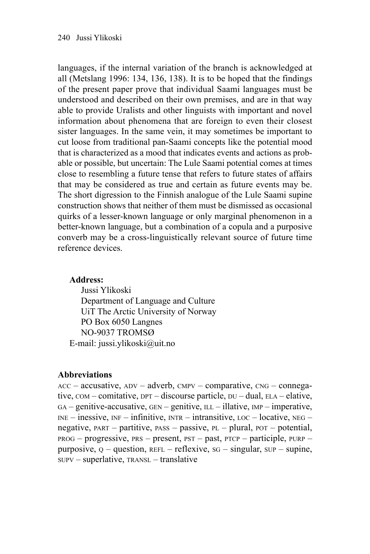languages, if the internal variation of the branch is acknowledged at all (Metslang 1996: 134, 136, 138). It is to be hoped that the findings of the present paper prove that individual Saami languages must be understood and described on their own premises, and are in that way able to provide Uralists and other linguists with important and novel information about phenomena that are foreign to even their closest sister languages. In the same vein, it may sometimes be important to cut loose from traditional pan-Saami concepts like the potential mood that is characterized as a mood that indicates events and actions as probable or possible, but uncertain: The Lule Saami potential comes at times close to resembling a future tense that refers to future states of affairs that may be considered as true and certain as future events may be. The short digression to the Finnish analogue of the Lule Saami supine construction shows that neither of them must be dismissed as occasional quirks of a lesser-known language or only marginal phenomenon in a better-known language, but a combination of a copula and a purposive converb may be a cross-linguistically relevant source of future time reference devices.

# **Address:**

Jussi Ylikoski Department of Language and Culture UiT The Arctic University of Norway PO Box 6050 Langnes NO-9037 TROMSØ E-mail: jussi.ylikoski@uit.no

# **Abbreviations**

 $ACC - accusative$ ,  $ADV - adverb$ ,  $CMPV - comparative$ ,  $CNG - compega$ tive, COM – comitative, DPT – discourse particle, DU – dual, ELA – elative, GA – genitive-accusative, GEN – genitive, ILL – illative, IMP – imperative,  $INE - \text{inessive}, \text{INF} - \text{infinitye}, \text{INTR} - \text{intransitive}, \text{LOC} - \text{locative}, \text{NEG} - \text{Disc}$ negative,  $PART -$  partitive,  $PASS -$  passive,  $PL -$  plural,  $POT -$  potential,  $PROG$  – progressive, PRS – present, PST – past, PTCP – participle, PURP – purposive,  $Q$  – question, REFL – reflexive, sG – singular,  $SUP$  – supine, SUPV – superlative, TRANSL – translative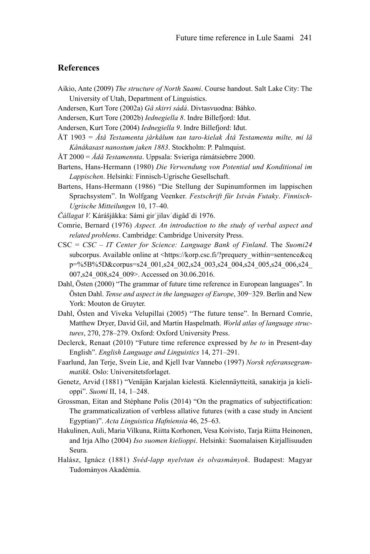#### **References**

- Aikio, Ante (2009) *The structure of North Saami*. Course handout. Salt Lake City: The University of Utah, Department of Linguistics.
- Andersen, Kurt Tore (2002a) *Gå skirri sádá*. Divtasvuodna: Báhko.
- Andersen, Kurt Tore (2002b) *Iednegiella 8*. Indre Billefjord: Iđut.
- Andersen, Kurt Tore (2004) *Iednegiella 9*. Indre Billefjord: Iđut.
- ÅT 1903 = *Åtå Testamenta jårkålum tan taro-kielak Åtå Testamenta milte, mi lä Kånåkasast nanostum jaken 1883*. Stockholm: P. Palmquist.
- ÅT 2000 = *Ådå Testamennta*. Uppsala: Svieriga rámátsiebrre 2000.
- Bartens, Hans-Hermann (1980) *Die Verwendung von Potential und Konditional im Lappischen*. Helsinki: Finnisch-Ugrische Gesellschaft.
- Bartens, Hans-Hermann (1986) "Die Stellung der Supinumformen im lappischen Sprachsystem". In Wolfgang Veenker. *Festschrift für István Futaky*. *Finnisch-Ugrische Mitteilungen* 10, 17–40.
- *Čállagat V.* Kárášjåkka: Sámi girˈjilavˈdigådˈdi 1976.
- Comrie, Bernard (1976) *Aspect. An introduction to the study of verbal aspect and related problems*. Cambridge: Cambridge University Press.
- CSC = *CSC IT Center for Science: Language Bank of Finland*. The *Suomi24* subcorpus. Available online at <https://korp.csc.fi/?prequery\_within=sentence&cq p=%5B%5D&corpus=s24\_001,s24\_002,s24\_003,s24\_004,s24\_005,s24\_006,s24\_ 007, s24\_008, s24\_009>. Accessed on 30.06.2016.
- Dahl, Östen (2000) "The grammar of future time reference in European languages". In Östen Dahl. *Tense and aspect in the languages of Europe*, 309−329. Berlin and New York: Mouton de Gruyter.
- Dahl, Östen and Viveka Velupillai (2005) "The future tense". In Bernard Comrie, Matthew Dryer, David Gil, and Martin Haspelmath. *World atlas of language structures*, 270, 278–279. Oxford: Oxford University Press.
- Declerck, Renaat (2010) "Future time reference expressed by *be to* in Present-day English". *English Language and Linguistics* 14, 271–291.
- Faarlund, Jan Terje, Svein Lie, and Kjell Ivar Vannebo (1997) *Norsk referansegrammatikk*. Oslo: Universitetsforlaget.
- Genetz, Arvid (1881) "Venäjän Karjalan kielestä. Kielennäytteitä, sanakirja ja kielioppi". *Suomi* II, 14, 1–248.
- Grossman, Eitan and Stéphane Polis (2014) "On the pragmatics of subjectification: The grammaticalization of verbless allative futures (with a case study in Ancient Egyptian)". *Acta Linguistica Hafniensia* 46, 25–63.
- Hakulinen, Auli, Maria Vilkuna, Riitta Korhonen, Vesa Koivisto, Tarja Riitta Heinonen, and Irja Alho (2004) *Iso suomen kielioppi*. Helsinki: Suomalaisen Kirjallisuuden Seura.
- Halász, Ignácz (1881) *Svéd-lapp nyelvtan és olvasmányok*. Budapest: Magyar Tudományos Akadémia.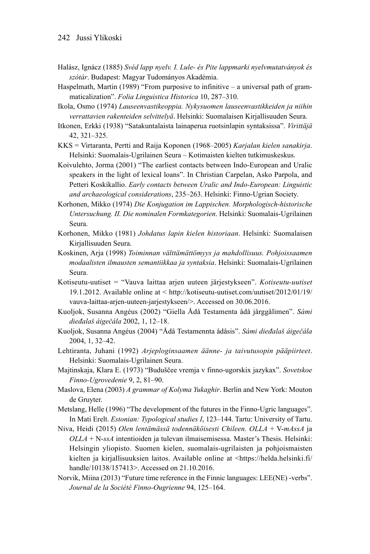- Halász, Ignácz (1885) *Svéd lapp nyelv. I. Lule- és Pite lappmarki nyelvmutatványok és szótár*. Budapest: Magyar Tudományos Akadémia.
- Haspelmath, Martin (1989) "From purposive to infinitive a universal path of grammaticalization". *Folia Linguistica Historica* 10, 287–310.
- Ikola, Osmo (1974) *Lauseenvastikeoppia. Nykysuomen lauseenvastikkeiden ja niihin verrattavien rakenteiden selvittelyä*. Helsinki: Suomalaisen Kirjallisuuden Seura.
- Itkonen, Erkki (1938) "Satakuntalaista lainaperua ruotsinlapin syntaksissa". *Virittäjä* 42, 321–325.
- KKS = Virtaranta, Pertti and Raija Koponen (1968–2005) *Karjalan kielen sanakirja*. Helsinki: Suomalais-Ugrilainen Seura – Kotimaisten kielten tutkimuskeskus.
- Koivulehto, Jorma (2001) "The earliest contacts between Indo-European and Uralic speakers in the light of lexical loans". In Christian Carpelan, Asko Parpola, and Petteri Koskikallio. *Early contacts between Uralic and Indo-European: Linguistic and archaeological considerations*, 235–263. Helsinki: Finno-Ugrian Society.
- Korhonen, Mikko (1974) *Die Konjugation im Lappischen. Morphologisch-historische Untersuchung. II. Die nominalen Formkategorien*. Helsinki: Suomalais-Ugrilainen Seura.
- Korhonen, Mikko (1981) *Johdatus lapin kielen historiaan*. Helsinki: Suomalaisen Kirjallisuuden Seura.
- Koskinen, Arja (1998) *Toiminnan välttämättömyys ja mahdollisuus. Pohjoissaamen modaalisten ilmausten semantiikkaa ja syntaksia*. Helsinki: Suomalais-Ugrilainen Seura.
- Kotiseutu-uutiset = "Vauva laittaa arjen uuteen järjestykseen". *Kotiseutu-uutiset* 19.1.2012. Available online at < http://kotiseutu-uutiset.com/uutiset/2012/01/19/ vauva-laittaa-arjen-uuteen-jarjestykseen/>. Accessed on 30.06.2016.
- Kuoljok, Susanna Angéus (2002) "Giella Ådå Testamenta ådå jårggålimen". *Sámi dieđalaš áigečála* 2002, 1, 12–18.
- Kuoljok, Susanna Angéus (2004) "Ådå Testamennta ådåsis". *Sámi dieđalaš áigečála* 2004, 1, 32–42.
- Lehtiranta, Juhani (1992) *Arjeploginsaamen äänne- ja taivutusopin pääpiirteet*. Helsinki: Suomalais-Ugrilainen Seura.
- Majtinskaja, Klara E. (1973) "Buduščee vremja v finno-ugorskix jazykax". *Sovetskoe Finno-Ugrovedenie* 9, 2, 81–90.
- Maslova, Elena (2003) *A grammar of Kolyma Yukaghir*. Berlin and New York: Mouton de Gruyter.
- Metslang, Helle (1996) "The development of the futures in the Finno-Ugric languages". In Mati Erelt. *Estonian: Typological studies I*, 123–144. Tartu: University of Tartu.
- Niva, Heidi (2015) *Olen lentämässä todennäköisesti Chileen. OLLA* + V-*mAssA* ja *OLLA* + N-*ssA* intentioiden ja tulevan ilmaisemisessa. Master's Thesis. Helsinki: Helsingin yliopisto. Suomen kielen, suomalais-ugrilaisten ja pohjoismaisten kielten ja kirjallisuuksien laitos. Available online at <https://helda.helsinki.fi/ handle/10138/157413>. Accessed on 21.10.2016.
- Norvik, Miina (2013) "Future time reference in the Finnic languages: LEE(NE) -verbs". *Journal de la Société Finno-Ougrienne* 94, 125–164.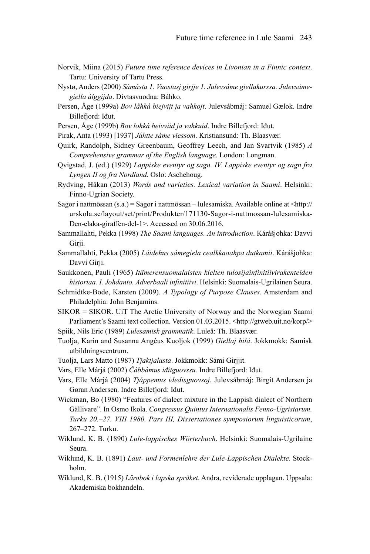- Norvik, Miina (2015) *Future time reference devices in Livonian in a Finnic context*. Tartu: University of Tartu Press.
- Nystø, Anders (2000) *Sámásta 1. Vuostasj girjje 1. Julevsáme giellakurssa. Julevsámegiella álggijda*. Divtasvuodna: Báhko.
- Persen, Åge (1999a) *Bov låhkå biejvijt ja vahkojt*. Julevsábmáj: Samuel Gælok. Indre Billefjord: Iđut.
- Persen, Åge (1999b) *Bov lohká beivviid ja vahkuid*. Indre Billefjord: Iđut.
- Pirak, Anta (1993) [1937] *Jåhtte sáme viessom*. Kristiansund: Th. Blaasvær.
- Quirk, Randolph, Sidney Greenbaum, Geoffrey Leech, and Jan Svartvik (1985) *A Comprehensive grammar of the English language*. London: Longman.
- Qvigstad, J. (ed.) (1929) *Lappiske eventyr og sagn. IV. Lappiske eventyr og sagn fra Lyngen II og fra Nordland*. Oslo: Aschehoug.
- Rydving, Håkan (2013) *Words and varieties. Lexical variation in Saami*. Helsinki: Finno-Ugrian Society.
- Sagor i nattmössan (s.a.) = Sagor i nattmössan lulesamiska. Available online at <http:// urskola.se/layout/set/print/Produkter/171130-Sagor-i-nattmossan-lulesamiska-Den-elaka-giraffen-del-1>. Accessed on 30.06.2016.
- Sammallahti, Pekka (1998) *The Saami languages. An introduction*. Kárášjohka: Davvi Girji.
- Sammallahti, Pekka (2005) *Láidehus sámegiela cealkkaoahpa dutkamii*. Kárášjohka: Davvi Girii.
- Saukkonen, Pauli (1965) *Itämerensuomalaisten kielten tulosijainfinitiivirakenteiden historiaa. I. Johdanto. Adverbaali infinitiivi*. Helsinki: Suomalais-Ugrilainen Seura.
- Schmidtke-Bode, Karsten (2009). *A Typology of Purpose Clauses*. Amsterdam and Philadelphia: John Benjamins.
- SIKOR = SIKOR. UiT The Arctic University of Norway and the Norwegian Saami Parliament's Saami text collection. Version 01.03.2015. <http://gtweb.uit.no/korp/> Spiik, Nils Eric (1989) *Lulesamisk grammatik*. Luleå: Th. Blaasvær.
- Tuolja, Karin and Susanna Angéus Kuoljok (1999) *Giellaj hilá*. Jokkmokk: Samisk utbildningscentrum.
- Tuolja, Lars Matto (1987) *Tjaktjalasta*. Jokkmokk: Sámi Girjjit.
- Vars, Elle Márjá (2002) *Čábbámus iđitguovssu.* Indre Billefjord: Iđut.
- Vars, Elle Márjá (2004) *Tjáppemus idedisguovsoj.* Julevsábmáj: Birgit Andersen ja Gøran Andersen. Indre Billefjord: Iđut.
- Wickman, Bo (1980) "Features of dialect mixture in the Lappish dialect of Northern Gällivare". In Osmo Ikola. *Congressus Quintus Internationalis Fenno-Ugristarum. Turku 20.–27. VIII 1980. Pars III, Dissertationes symposiorum linguisticorum*, 267–272. Turku.
- Wiklund, K. B. (1890) *Lule-lappisches Wörterbuch*. Helsinki: Suomalais-Ugrilaine Seura.
- Wiklund, K. B. (1891) *Laut- und Formenlehre der Lule-Lappischen Dialekte*. Stockholm.
- Wiklund, K. B. (1915) *Lärobok i lapska språket*. Andra, reviderade upplagan. Uppsala: Akademiska bokhandeln.